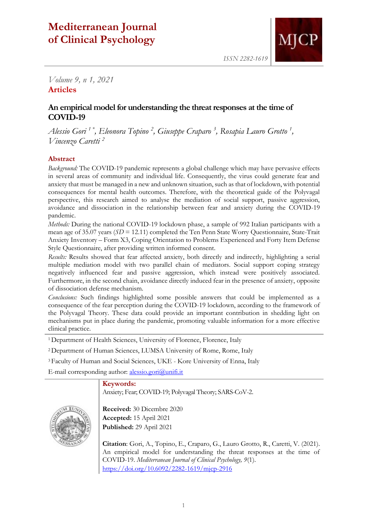# **Mediterranean Journal of Clinical Psychology**



*ISSN 2282-1619*

*Volume 9, n 1, 2021* **Articles**

## **An empirical model for understanding the threat responses at the time of COVID-19**

*Alessio Gori 1 \*, Eleonora Topino <sup>2</sup> , Giuseppe Craparo <sup>3</sup> , Rosapia Lauro Grotto <sup>1</sup> , Vincenzo Caretti <sup>2</sup>*

### **Abstract**

*Background:* The COVID-19 pandemic represents a global challenge which may have pervasive effects in several areas of community and individual life. Consequently, the virus could generate fear and anxiety that must be managed in a new and unknown situation, such as that of lockdown, with potential consequences for mental health outcomes. Therefore, with the theoretical guide of the Polyvagal perspective, this research aimed to analyse the mediation of social support, passive aggression, avoidance and dissociation in the relationship between fear and anxiety during the COVID-19 pandemic.

*Methods:* During the national COVID-19 lockdown phase, a sample of 992 Italian participants with a mean age of 35.07 years (*SD* = 12.11) completed the Ten Penn State Worry Questionnaire, State-Trait Anxiety Inventory – Form X3, Coping Orientation to Problems Experienced and Forty Item Defense Style Questionnaire, after providing written informed consent.

*Results:* Results showed that fear affected anxiety, both directly and indirectly, highlighting a serial multiple mediation model with two parallel chain of mediators. Social support coping strategy negatively influenced fear and passive aggression, which instead were positively associated. Furthermore, in the second chain, avoidance directly induced fear in the presence of anxiety, opposite of dissociation defense mechanism.

*Conclusions:* Such findings highlighted some possible answers that could be implemented as a consequence of the fear perception during the COVID-19 lockdown, according to the framework of the Polyvagal Theory. These data could provide an important contribution in shedding light on mechanisms put in place during the pandemic, promoting valuable information for a more effective clinical practice.

<sup>1</sup> Department of Health Sciences, University of Florence, Florence, Italy

<sup>2</sup>Department of Human Sciences, LUMSA University of Rome, Rome, Italy

<sup>3</sup>Faculty of Human and Social Sciences, UKE - Kore University of Enna, Italy

E-mail corresponding author: [alessio.gori@unifi.it](mailto:alessio.gori@unifi.it)

#### **Keywords:**

Anxiety; Fear; COVID-19; Polyvagal Theory; SARS-CoV-2.



**Received:** 30 Dicembre 2020 **Accepted:** 15 April 2021 **Published:** 29 April 2021

**Citation**: Gori, A., Topino, E., Craparo, G., Lauro Grotto, R., Caretti, V. (2021). An empirical model for understanding the threat responses at the time of COVID-19. *Mediterranean Journal of Clinical Psychology, 9*(1). <https://doi.org/10.6092/2282-1619/mjcp-2916>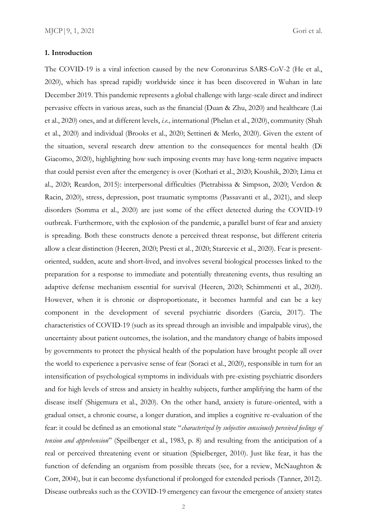#### **1. Introduction**

The COVID-19 is a viral infection caused by the new Coronavirus SARS-CoV-2 (He et al., 2020), which has spread rapidly worldwide since it has been discovered in Wuhan in late December 2019. This pandemic represents a global challenge with large-scale direct and indirect pervasive effects in various areas, such as the financial (Duan & Zhu, 2020) and healthcare (Lai et al., 2020) ones, and at different levels, *i.e.,* international (Phelan et al., 2020), community (Shah et al., 2020) and individual (Brooks et al., 2020; Settineri & Merlo, 2020). Given the extent of the situation, several research drew attention to the consequences for mental health (Di Giacomo, 2020), highlighting how such imposing events may have long-term negative impacts that could persist even after the emergency is over (Kothari et al., 2020; Koushik, 2020; Lima et al., 2020; Reardon, 2015): interpersonal difficulties (Pietrabissa & Simpson, 2020; Verdon & Racin, 2020), stress, depression, post traumatic symptoms (Passavanti et al., 2021), and sleep disorders (Somma et al., 2020) are just some of the effect detected during the COVID-19 outbreak. Furthermore, with the explosion of the pandemic, a parallel burst of fear and anxiety is spreading. Both these constructs denote a perceived threat response, but different criteria allow a clear distinction (Heeren, 2020; Presti et al., 2020; Starcevic et al., 2020). Fear is presentoriented, sudden, acute and short-lived, and involves several biological processes linked to the preparation for a response to immediate and potentially threatening events, thus resulting an adaptive defense mechanism essential for survival (Heeren, 2020; Schimmenti et al., 2020). However, when it is chronic or disproportionate, it becomes harmful and can be a key component in the development of several psychiatric disorders (Garcia, 2017). The characteristics of COVID-19 (such as its spread through an invisible and impalpable virus), the uncertainty about patient outcomes, the isolation, and the mandatory change of habits imposed by governments to protect the physical health of the population have brought people all over the world to experience a pervasive sense of fear (Soraci et al., 2020), responsible in turn for an intensification of psychological symptoms in individuals with pre-existing psychiatric disorders and for high levels of stress and anxiety in healthy subjects, further amplifying the harm of the disease itself (Shigemura et al., 2020). On the other hand, anxiety is future-oriented, with a gradual onset, a chronic course, a longer duration, and implies a cognitive re-evaluation of the fear: it could be defined as an emotional state "*characterized by subjective consciously perceived feelings of tension and apprehension*" (Speilberger et al., 1983, p. 8) and resulting from the anticipation of a real or perceived threatening event or situation (Spielberger, 2010). Just like fear, it has the function of defending an organism from possible threats (see, for a review, McNaughton & Corr, 2004), but it can become dysfunctional if prolonged for extended periods (Tanner, 2012). Disease outbreaks such as the COVID-19 emergency can favour the emergence of anxiety states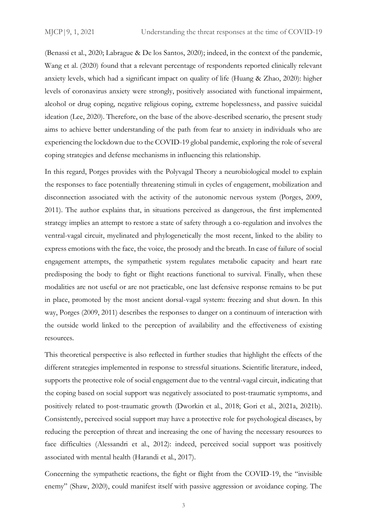(Benassi et al., 2020; Labrague & De los Santos, 2020); indeed, in the context of the pandemic, Wang et al. (2020) found that a relevant percentage of respondents reported clinically relevant anxiety levels, which had a significant impact on quality of life (Huang & Zhao, 2020): higher levels of coronavirus anxiety were strongly, positively associated with functional impairment, alcohol or drug coping, negative religious coping, extreme hopelessness, and passive suicidal ideation (Lee, 2020). Therefore, on the base of the above-described scenario, the present study aims to achieve better understanding of the path from fear to anxiety in individuals who are experiencing the lockdown due to the COVID-19 global pandemic, exploring the role of several coping strategies and defense mechanisms in influencing this relationship.

In this regard, Porges provides with the Polyvagal Theory a neurobiological model to explain the responses to face potentially threatening stimuli in cycles of engagement, mobilization and disconnection associated with the activity of the autonomic nervous system (Porges, 2009, 2011). The author explains that, in situations perceived as dangerous, the first implemented strategy implies an attempt to restore a state of safety through a co-regulation and involves the ventral-vagal circuit, myelinated and phylogenetically the most recent, linked to the ability to express emotions with the face, the voice, the prosody and the breath. In case of failure of social engagement attempts, the sympathetic system regulates metabolic capacity and heart rate predisposing the body to fight or flight reactions functional to survival. Finally, when these modalities are not useful or are not practicable, one last defensive response remains to be put in place, promoted by the most ancient dorsal-vagal system: freezing and shut down. In this way, Porges (2009, 2011) describes the responses to danger on a continuum of interaction with the outside world linked to the perception of availability and the effectiveness of existing resources.

This theoretical perspective is also reflected in further studies that highlight the effects of the different strategies implemented in response to stressful situations. Scientific literature, indeed, supports the protective role of social engagement due to the ventral-vagal circuit, indicating that the coping based on social support was negatively associated to post-traumatic symptoms, and positively related to post-traumatic growth (Dworkin et al., 2018; Gori et al., 2021a, 2021b). Consistently, perceived social support may have a protective role for psychological diseases, by reducing the perception of threat and increasing the one of having the necessary resources to face difficulties (Alessandri et al., 2012): indeed, perceived social support was positively associated with mental health (Harandi et al., 2017).

Concerning the sympathetic reactions, the fight or flight from the COVID-19, the "invisible enemy" (Shaw, 2020), could manifest itself with passive aggression or avoidance coping. The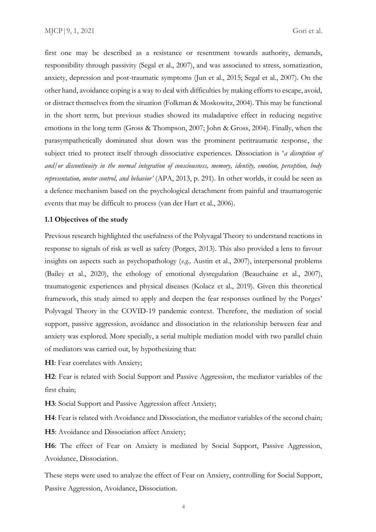first one may be described as a resistance or resentment towards authority, demands, responsibility through passivity (Segal et al., 2007), and was associated to stress, somatization, anxiety, depression and post-traumatic symptoms (Jun et al., 2015; Segal et al., 2007). On the other hand, avoidance coping is a way to deal with difficulties by making efforts to escape, avoid, or distract themselves from the situation (Folkman & Moskowitz, 2004). This may be functional in the short term, but previous studies showed its maladaptive effect in reducing negative emotions in the long term (Gross & Thompson, 2007; John & Gross, 2004). Finally, when the parasympathetically dominated shut down was the prominent peritraumatic response, the subject tried to protect itself through dissociative experiences. Dissociation is '*a disruption of and/or discontinuity in the normal integration of consciousness, memory, identity, emotion, perception, body representation, motor control, and behavior'* (APA, 2013, p. 291). In other worlds, it could be seen as a defence mechanism based on the psychological detachment from painful and traumatogenic events that may be difficult to process (van der Hart et al., 2006).

#### **1.1 Objectives of the study**

Previous research highlighted the usefulness of the Polyvagal Theory to understand reactions in response to signals of risk as well as safety (Porges, 2013). This also provided a lens to favour insights on aspects such as psychopathology (*e.g.,* Austin et al., 2007), interpersonal problems (Bailey et al., 2020), the ethology of emotional dysregulation (Beauchaine et al., 2007), traumatogenic experiences and physical diseases (Kolacz et al., 2019). Given this theoretical framework, this study aimed to apply and deepen the fear responses outlined by the Porges' Polyvagal Theory in the COVID-19 pandemic context. Therefore, the mediation of social support, passive aggression, avoidance and dissociation in the relationship between fear and anxiety was explored. More specially, a serial multiple mediation model with two parallel chain of mediators was carried out, by hypothesizing that:

**H1**: Fear correlates with Anxiety;

**H2**: Fear is related with Social Support and Passive Aggression, the mediator variables of the first chain;

**H3**: Social Support and Passive Aggression affect Anxiety;

**H4**: Fear is related with Avoidance and Dissociation, the mediator variables of the second chain;

**H5**: Avoidance and Dissociation affect Anxiety;

**H6**: The effect of Fear on Anxiety is mediated by Social Support, Passive Aggression, Avoidance, Dissociation.

These steps were used to analyze the effect of Fear on Anxiety, controlling for Social Support, Passive Aggression, Avoidance, Dissociation.

4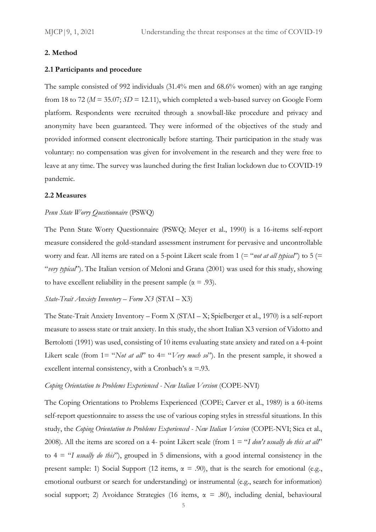#### **2. Method**

#### **2.1 Participants and procedure**

The sample consisted of 992 individuals (31.4% men and 68.6% women) with an age ranging from 18 to 72 ( $M = 35.07$ ;  $SD = 12.11$ ), which completed a web-based survey on Google Form platform. Respondents were recruited through a snowball-like procedure and privacy and anonymity have been guaranteed. They were informed of the objectives of the study and provided informed consent electronically before starting. Their participation in the study was voluntary: no compensation was given for involvement in the research and they were free to leave at any time. The survey was launched during the first Italian lockdown due to COVID-19 pandemic.

#### **2.2 Measures**

#### *Penn State Worry Questionnaire* (PSWQ)

The Penn State Worry Questionnaire (PSWQ; Meyer et al., 1990) is a 16-items self-report measure considered the gold-standard assessment instrument for pervasive and uncontrollable worry and fear. All items are rated on a 5-point Likert scale from 1 (= "*not at all typical*") to 5 (= "*very typical*"). The Italian version of Meloni and Grana (2001) was used for this study, showing to have excellent reliability in the present sample ( $\alpha$  = .93).

#### *State-Trait Anxiety Inventory – Form X3* (STAI – X3)

The State-Trait Anxiety Inventory – Form X (STAI – X; Spielberger et al., 1970) is a self-report measure to assess state or trait anxiety. In this study, the short Italian X3 version of Vidotto and Bertolotti (1991) was used, consisting of 10 items evaluating state anxiety and rated on a 4-point Likert scale (from 1= "*Not at all*" to 4= "*Very much so*"). In the present sample, it showed a excellent internal consistency, with a Cronbach's  $\alpha = 93$ .

#### *Coping Orientation to Problems Experienced - New Italian Version* (COPE-NVI)

The Coping Orientations to Problems Experienced (COPE; Carver et al., 1989) is a 60-items self-report questionnaire to assess the use of various coping styles in stressful situations. In this study, the *Coping Orientation to Problems Experienced - New Italian Version* (COPE-NVI; Sica et al., 2008). All the items are scored on a 4- point Likert scale (from 1 = "*I don't usually do this at all*" to 4 = "*I usually do this*"), grouped in 5 dimensions, with a good internal consistency in the present sample: 1) Social Support (12 items,  $\alpha = .90$ ), that is the search for emotional (e.g., emotional outburst or search for understanding) or instrumental (e.g., search for information) social support; 2) Avoidance Strategies (16 items,  $\alpha = .80$ ), including denial, behavioural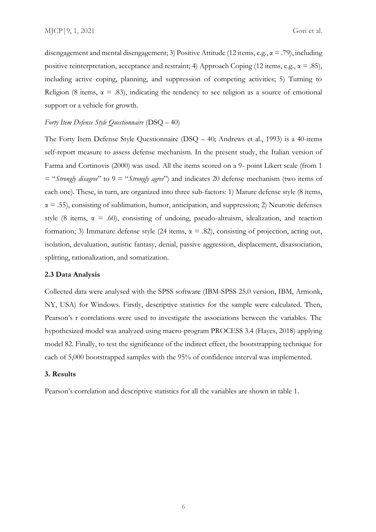disengagement and mental disengagement; 3) Positive Attitude (12 items, e.g.,  $\alpha = .79$ ), including positive reinterpretation, acceptance and restraint; 4) Approach Coping (12 items, e.g.,  $\alpha = .85$ ), including active coping, planning, and suppression of competing activities; 5) Turning to Religion (8 items,  $\alpha = .83$ ), indicating the tendency to see religion as a source of emotional support or a vehicle for growth.

#### *Forty Item Defense Style Questionnaire* (DSQ – 40)

The Forty Item Defense Style Questionnaire (DSQ – 40; Andrews et al., 1993) is a 40-items self-report measure to assess defense mechanism. In the present study, the Italian version of Farma and Cortinovis (2000) was used. All the items scored on a 9- point Likert scale (from 1 = "*Strongly disagree*" to 9 = "*Strongly agree*") and indicates 20 defense mechanism (two items of each one). These, in turn, are organized into three sub-factors: 1) Mature defense style (8 items,  $\alpha = .55$ ), consisting of sublimation, humor, anticipation, and suppression; 2) Neurotic defenses style (8 items,  $\alpha = .60$ ), consisting of undoing, pseudo-altruism, idealization, and reaction formation; 3) Immature defense style (24 items,  $\alpha = .82$ ), consisting of projection, acting out, isolation, devaluation, autistic fantasy, denial, passive aggression, displacement, disassociation, splitting, rationalization, and somatization.

#### **2.3 Data Analysis**

Collected data were analysed with the SPSS software (IBM-SPSS 25.0 version, IBM, Armonk, NY, USA) for Windows. Firstly, descriptive statistics for the sample were calculated. Then, Pearson's r correlations were used to investigate the associations between the variables. The hypothesized model was analyzed using macro-program PROCESS 3.4 (Hayes, 2018) applying model 82. Finally, to test the significance of the indirect effect, the bootstrapping technique for each of 5,000 bootstrapped samples with the 95% of confidence interval was implemented.

#### **3. Results**

Pearson's correlation and descriptive statistics for all the variables are shown in table 1.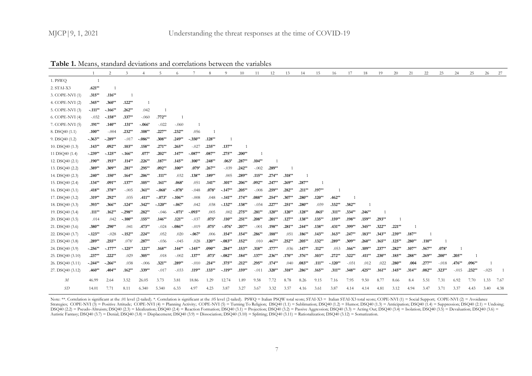|                  |           | 2          | 3              | $\overline{4}$ | 5         | 6         |           | 8         | 9         | 10        | 11        | 12       | 13        | 14        | 15        | 16        | 17       | 18        | 19        | 20        | 21       | 22       | 23       | 24        | 25       | 26          | 27   |
|------------------|-----------|------------|----------------|----------------|-----------|-----------|-----------|-----------|-----------|-----------|-----------|----------|-----------|-----------|-----------|-----------|----------|-----------|-----------|-----------|----------|----------|----------|-----------|----------|-------------|------|
| 1. PSWQ          |           |            |                |                |           |           |           |           |           |           |           |          |           |           |           |           |          |           |           |           |          |          |          |           |          |             |      |
| 2. STAI-X3       | $.621**$  |            |                |                |           |           |           |           |           |           |           |          |           |           |           |           |          |           |           |           |          |          |          |           |          |             |      |
| 3. COPE-NVI (1)  | $.315***$ | $.116**$   | $\overline{1}$ |                |           |           |           |           |           |           |           |          |           |           |           |           |          |           |           |           |          |          |          |           |          |             |      |
| 4. COPE-NVI (2)  | $.345**$  | $.360**$   | $.122**$       |                |           |           |           |           |           |           |           |          |           |           |           |           |          |           |           |           |          |          |          |           |          |             |      |
| 5. COPE-NVI (3)  | $-.111**$ | $-.166**$  | $.262**$       | .042           |           |           |           |           |           |           |           |          |           |           |           |           |          |           |           |           |          |          |          |           |          |             |      |
| 6. COPE-NVI (4)  | $-.032$   | $-.158**$  | $.337**$       | $-.060$        | $.772**$  |           |           |           |           |           |           |          |           |           |           |           |          |           |           |           |          |          |          |           |          |             |      |
| 7. COPE-NVI (5)  | $.191**$  | $.140**$   | $.131**$       | $-.066*$       | $-.022$   | $-.060$   |           |           |           |           |           |          |           |           |           |           |          |           |           |           |          |          |          |           |          |             |      |
| 8. DSQ40 (1.1)   | $.100**$  | $-.004$    | $.232**$       | $.108**$       | $.227**$  | $.232**$  | .056      |           |           |           |           |          |           |           |           |           |          |           |           |           |          |          |          |           |          |             |      |
| 9. DSQ40 (1.2)   | $-.363**$ | $-.289**$  | $-.017$        | $-.086**$      | $.308**$  | $.249**$  | $-.350**$ | $.128**$  |           |           |           |          |           |           |           |           |          |           |           |           |          |          |          |           |          |             |      |
| 10. DSQ40 (1.3)  | $.143**$  | $.092**$   | $.103**$       | $.158**$       | $.271**$  | $.265***$ | $-.027$   | $.235***$ | $.137**$  |           |           |          |           |           |           |           |          |           |           |           |          |          |          |           |          |             |      |
| 11 DSQ40 (1.4)   | $-.239**$ | $-.125***$ | $-.166**$      | $.077*$        | $.202**$  | $.147**$  | $-.087**$ | $.087**$  | $.275***$ | $.200**$  |           |          |           |           |           |           |          |           |           |           |          |          |          |           |          |             |      |
| 12. DSQ40 (2.1)  | $.190**$  | $.193**$   | $.114***$      | $.226***$      | $.187**$  | $.145***$ | $.100**$  | $.248**$  | $.063*$   | $.287**$  | $.104**$  |          |           |           |           |           |          |           |           |           |          |          |          |           |          |             |      |
| 13. DSQ40 (2.2)  | $.389**$  | $.309**$   | $.281**$       | $.295***$      | $.092**$  | $.100**$  | $.079*$   | $.267**$  | $-.039$   | $.242**$  | $-.002$   | $.289**$ |           |           |           |           |          |           |           |           |          |          |          |           |          |             |      |
| 14. DSQ40 (2.3)  | $.240**$  | $.150**$   | $.164**$       | $.206**$       | $.111**$  | .032      | $.138***$ | $.189**$  | .005      | $.289**$  | $.115***$ | $.274**$ | $.318**$  |           |           |           |          |           |           |           |          |          |          |           |          |             |      |
| 15. DSQ40 (2.4)  | $.134**$  | $.091**$   | $.137**$       | $.105**$       | $.161**$  | $.068*$   | .051      | $.141**$  | $.101**$  | $.206**$  | $.092**$  | $.247**$ | $.269**$  | $.287**$  |           |           |          |           |           |           |          |          |          |           |          |             |      |
| 16. DSQ40 (3.1)  | $.418**$  | $.378**$   | $-.005$        | $.361**$       | $-.068*$  | $-.078*$  | $-.048$   | $.078*$   | $-.147**$ | $.205***$ | $-.008$   | $.259**$ | $.282**$  | $.211**$  | $.197**$  |           |          |           |           |           |          |          |          |           |          |             |      |
| 17. DSQ40 (3.2)  | $.319**$  | $.292**$   | .035           | $.411**$       | $-.073*$  | $-.106**$ | $-.008$   | .048      | $-.141**$ | $.174**$  | $.088**$  | $.254**$ | $.307**$  | $.280**$  | $.120**$  | $.462**$  |          |           |           |           |          |          |          |           |          |             |      |
| 18. DSQ40 (3.3)  | $.393**$  | $.366**$   | $.124**$       | $.342**$       | $-.120**$ | $-.067*$  | .042      | .038      | $-.132**$ | $.138**$  | $-.034$   | $.227**$ | $.251***$ | $.280**$  | .039      | $.332**$  | $.382**$ |           |           |           |          |          |          |           |          |             |      |
| 19. DSQ40 (3.4)  | $.111***$ | $.162**$   | $-.298**$      | $.282**$       | $-.046$   | $-.071*$  | $-.093**$ | .005      | .002      | $.275**$  | $.281**$  | $.120**$ | $.120**$  | $.128**$  | $.065*$   | $.311**$  | $.334**$ | $.246**$  |           |           |          |          |          |           |          |             |      |
| 20. DSQ40 (3.5)  | .014      | .042       | $-.100**$      | $.155***$      | $.146**$  | $.121**$  | $-.037$   | $.075*$   | $.110**$  | $.251***$ | $.208**$  | $.201**$ | $.127**$  | $.138**$  | $.135***$ | $.159**$  | $.198**$ | $.159**$  | $.293**$  |           |          |          |          |           |          |             |      |
| 21. DSQ40 (3.6)  | $.380**$  | $.290**$   | .041           | $.473**$       | $-.024$   | $-.086**$ | $-.019$   | $.075*$   | $-.076*$  | $.207**$  | $-.001$   | $.198**$ | $.281**$  | $.244**$  | $.138**$  | $.431**$  | $.399**$ | $.345***$ | $.322**$  | $.221**$  |          |          |          |           |          |             |      |
| 22. DSQ40 (3.7)  | $-.123**$ | $-.028$    | $-.152**$      | $.224**$       | .052      | .020      | $-.067*$  | .006      | $.154**$  | $.154***$ | $.286**$  | $.188**$ | .051      | $.186**$  | $.143**$  | $.163**$  | $.247**$ | $.183**$  | $.343**$  | $.239**$  | $.187**$ |          |          |           |          |             |      |
| 23. DSQ40 (3.8)  | $.289**$  | $.255**$   | $.078*$        | $.287**$       | $-.036$   | $-.045$   | .028      | $.120**$  | $-.083**$ | $.152***$ | .010      | $.467**$ | $.252**$  | $.205***$ | $.132**$  | $.289**$  | $.309**$ | $.260**$  | $.165***$ | $.125***$ | $.280**$ | $.110**$ |          |           |          |             |      |
| 24. DSQ40 (3.9)  | $-.256**$ | $-.177**$  | $-.125**$      | $.121**$       | $.168**$  | $.144**$  | $-.145**$ | $.090**$  | $.284**$  | $.153***$ | $.318**$  | $.177**$ | .036      | $.147**$  | $.112**$  | .053      | $.166**$ | $.109**$  | $.237**$  | $.282**$  | $.107**$ | $.567**$ | $.078*$  |           |          |             |      |
| 25. DSQ40 (3.10) | $.237**$  | $.222**$   | .029           | $.305**$       | .018      | $-.002$   | $.137**$  | $.073*$   | $-.082**$ | $.184**$  | $.137**$  | $.236**$ | $.170**$  | $.376**$  | $.103**$  | $.272**$  | $.322**$ | $.411***$ | $.230**$  | $.185***$ | $.288**$ | $.269**$ | $.200**$ | $.205***$ |          |             |      |
| 26. DSQ40 (3.11) | $-.244**$ | $-.266**$  | .038           | $-.006$        | $.321**$  | $.289**$  | $-.010$   | $.214**$  | $.375**$  | $.212**$  | $.295**$  | $.174**$ | .040      | $.083**$  | $.111***$ | $-.120**$ | $-.031$  | .012      | .022      | $.280**$  | .004     | $.277**$ | $-.018$  | $.476**$  | $.096**$ |             |      |
| 27. DSQ40 (3.12) | $.460**$  | $.404**$   | $.162**$       | $.339**$       | $-.017$   | $-.033$   | $.119**$  | $.133***$ | $-.119**$ | $.159**$  | $-.011$   | $.320**$ | $.318***$ | $.286**$  | $.165***$ | $.311**$  | $.348**$ | $.425***$ | $.161**$  | $.145***$ | $.314**$ | $.082**$ | $.323**$ | $-.015$   | $.232**$ | $-.025$     |      |
| М                | 46.99     | 2.64       | 3.52           | 26.05          | 3.73      | 3.81      | 18.86     | 1.29      | 12.74     | 1.89      | 9.58      | 7.72     | 8.78      | 8.26      | 9.15      | 7.16      | 7.95     | 9.50      | 8.77      | 8.66      | 8.4      | 5.51     | 7.31     | 6.92      | 7.70     | 1.33        | 7.67 |
| SD               | 14.01     | 7.71       | 8.11           | 6.340          | 5.340     | 6.33      | 4.97      | 4.23      | 3.87      | 3.27      | 3.67      | 3.32     | 3.57      | 4.16      | 3.61      | 3.87      | 4.14     | 4.14      | 4.81      | 3.12      | 4.94     | 3.47     | 3.71     | 3.37      | 4.43     | $3.40$ 4.38 |      |

Note: \*\*. Correlation is significant at the .01 level (2-tailed). \*. Correlation is significant at the .05 level (2-tailed). PSWQ = Italian PSQW total score; STAI-X3 = Italian STAI-X3 total score; COPE-NVI (1) = Social Sup Strategies; COPE-NVI (3) = Positive Attitude; COPE-NVI (4) = Planning Activity; COPE-NVI (5) = Turning To Religion; DSQ40 (1.1) = Sublimation; DSQ40 (1.2) = Humor; DSQ40 (1.3) = Anticipation; DSQ40 (1.4) = Suppression; DSQ DSQ40 (2.2) = Pseudo-Altruism; DSQ40 (2.3) = Idealization; DSQ40 (2.4) = Reaction Formation; DSQ40 (3.1) = Projection; DSQ40 (3.2) = Passive Aggression; DSQ40 (3.3) = Acting Out; DSQ40 (3.4) = Isolation; DSQ40 (3.5) = Deva Autistic Fantasy; DSQ40 (3.7) = Denial; DSQ40 (3.8) = Displacement; DSQ40 (3.9) = Dissociation; DSQ40 (3.10) = Splitting; DSQ40 (3.11) = Rationalization; DSQ40 (3.12) = Somatization.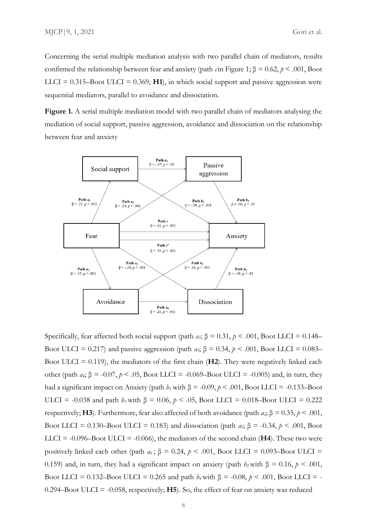Concerning the serial multiple mediation analysis with two parallel chain of mediators, results confirmed the relationship between fear and anxiety (path *c*in Figure 1; β = 0.62, *p* < .001, Boot LLCI =  $0.315$ -Boot ULCI =  $0.369$ ; H<sub>1</sub>), in which social support and passive aggression were sequential mediators, parallel to avoidance and dissociation.

**Figure 1.** A serial multiple mediation model with two parallel chain of mediators analysing the mediation of social support, passive aggression, avoidance and dissociation on the relationship between fear and anxiety



Specifically, fear affected both social support (path  $a_i$ ;  $\beta = 0.31$ ,  $p < .001$ , Boot LLCI = 0.148– Boot ULCI = 0.217) and passive aggression (path *a*<sub>*3*</sub>; β = 0.34, *p* < .001, Boot LLCI = 0.083– Boot ULCI = 0.119), the mediators of the first chain (**H2**). They were negatively linked each other (path *a<sub>i</sub>*; β = -0.07, *p* < .05, Boot LLCI = -0.069–Boot ULCI = -0.005) and, in turn, they had a significant impact on Anxiety (path  $b_1$  with  $\beta = -0.09$ ,  $p < .001$ , Boot LLCI = -0.133–Boot ULCI = -0.038 and path *b<sub>3</sub>* with β = 0.06, *p* < .05, Boot LLCI = 0.018–Boot ULCI = 0.222 respectively; **H3**). Furthermore, fear also affected of both avoidance (path  $a_2$ ;  $\beta = 0.35$ ,  $p < .001$ , Boot LLCI = 0.130–Boot ULCI = 0.183) and dissociation (path  $a_5$ ;  $\beta$  = -0.34,  $p$  < .001, Boot LLCI =  $-0.096 -$ Boot ULCI =  $-0.066$ ), the mediators of the second chain (H4). These two werepositively linked each other (path  $a_6$ ;  $\beta = 0.24$ ,  $p < .001$ , Boot LLCI = 0.093–Boot ULCI = 0.159) and, in turn, they had a significant impact on anxiety (path  $b_2$  with  $\beta = 0.16$ ,  $p < .001$ , Boot LLCI = 0.132–Boot ULCI = 0.265 and path  $b_4$  with  $\beta$  = -0.08,  $p < .001$ , Boot LLCI = -0.294–Boot ULCI =  $-0.058$ , respectively; **H5**). So, the effect of fear on anxiety was reduced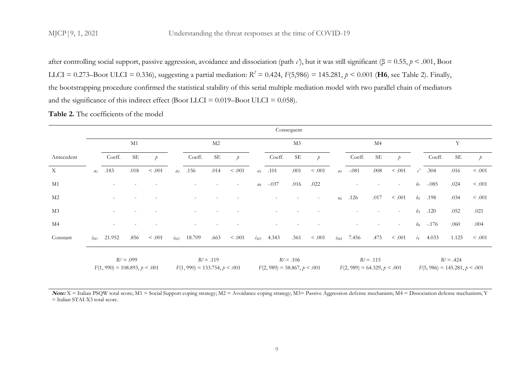after controlling social support, passive aggression, avoidance and dissociation (path *c'*), but it was still significant (β = 0.55, *p* < .001, Boot LLCI = 0.273–Boot ULCI = 0.336), suggesting a partial mediation:  $R^2 = 0.424$ ,  $F(5,986) = 145.281$ ,  $p < 0.001$  (**H6**, see Table 2). Finally, the bootstrapping procedure confirmed the statistical stability of this serial multiple mediation model with two parallel chain of mediators and the significance of this indirect effect (Boot LLCI =  $0.019$ –Boot ULCI =  $0.058$ ).

|                           |          |                                 |              |               |                |                                 |                |               |          |                                | Consequent     |               |                |                                |                |                          |                        |                                 |              |               |
|---------------------------|----------|---------------------------------|--------------|---------------|----------------|---------------------------------|----------------|---------------|----------|--------------------------------|----------------|---------------|----------------|--------------------------------|----------------|--------------------------|------------------------|---------------------------------|--------------|---------------|
|                           |          |                                 | M1           |               |                |                                 | M <sub>2</sub> |               |          |                                | M <sub>3</sub> |               |                |                                | M <sub>4</sub> |                          |                        |                                 | Y            |               |
| Antecedent                |          | Coeff.                          | <b>SE</b>    | $\mathcal{P}$ |                | Coeff.                          | $\rm SE$       | $\mathcal{P}$ |          | Coeff.                         | $\rm SE$       | $\mathcal{P}$ |                | Coeff.                         | $\rm SE$       | $\mathcal{D}$            |                        | Coeff.                          | <b>SE</b>    | $\mathcal{P}$ |
| $\boldsymbol{\mathrm{X}}$ | $a_1$    | .183                            | .018         | $< .001$      | a <sub>2</sub> | .156                            | .014           | $< .001$      | $a_3$    | .101                           | .001           | < .001        | $a_5$          | $-.081$                        | $.008$         | $< .001$                 | $\mathcal{C}^{\prime}$ | .304                            | .016         | < .001        |
| M1                        |          |                                 |              |               |                |                                 |                |               |          | $a_4$ -.037                    | .016           | .022          |                |                                |                | $\overline{\phantom{a}}$ |                        | $b_1$ -.085                     | .024         | < .001        |
| M <sub>2</sub>            |          |                                 |              |               |                |                                 |                |               |          |                                |                |               | a <sub>6</sub> | .126                           | .017           | < .001                   | $b_2$                  | .198                            | .034         | < .001        |
| M <sub>3</sub>            |          |                                 |              |               |                |                                 |                |               |          |                                |                |               |                |                                |                | $\overline{\phantom{a}}$ | $b_3$                  | .120                            | .052         | .021          |
| M <sub>4</sub>            |          |                                 |              |               |                |                                 |                |               |          |                                |                |               |                |                                |                | $\overline{\phantom{a}}$ |                        | $b_4$ -.176                     | .060         | .004          |
| Constant                  | $i_{M1}$ | 21.952                          | .856         | < .001        | $i_{M2}$       | 18.709                          | .663           | < .001        | $i_{M3}$ | 4.343                          | .561           | < .001        | $i_{M4}$       | 7.456                          | .475           | < .001                   | $i_Y$                  | 4.033                           | 1.125        | < .001        |
|                           |          | $F(1, 990) = 108.893, p < .001$ | $R^2 = .099$ |               |                | $F(1, 990) = 133.754, p < .001$ | $R^2 = .119$   |               |          | $F(2, 989) = 58.867, p < .001$ | $R^2 = .106$   |               |                | $F(2, 989) = 64.329, p < .001$ | $R^2 = .115$   |                          |                        | $F(5, 986) = 145.281, p < .001$ | $R^2 = .424$ |               |

Note: X = Italian PSQW total score; M1 = Social Support coping strategy; M2 = Avoidance coping strategy; M3= Passive Aggression defense mechanism; M4 = Dissociation defense mechanism; Y = Italian STAI-X3 total score.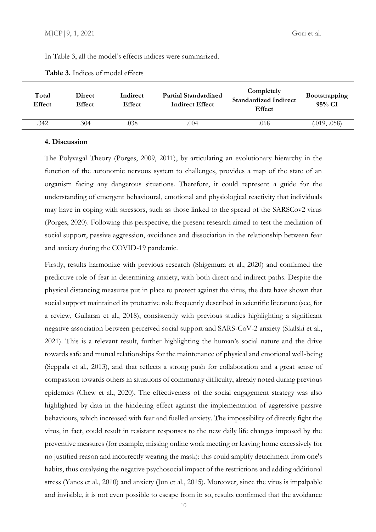In Table 3, all the model's effects indices were summarized.

| Total<br>Effect | Direct<br><b>Effect</b> | Indirect<br><b>Effect</b> | <b>Partial Standardized</b><br><b>Indirect Effect</b> | Completely<br><b>Standardized Indirect</b><br>Effect | <b>Bootstrapping</b><br>$95\%$ CI |
|-----------------|-------------------------|---------------------------|-------------------------------------------------------|------------------------------------------------------|-----------------------------------|
| .342            | .304                    | .038                      | .004                                                  | .068                                                 | (.019, .058)                      |

#### **4. Discussion**

The Polyvagal Theory (Porges, 2009, 2011), by articulating an evolutionary hierarchy in the function of the autonomic nervous system to challenges, provides a map of the state of an organism facing any dangerous situations. Therefore, it could represent a guide for the understanding of emergent behavioural, emotional and physiological reactivity that individuals may have in coping with stressors, such as those linked to the spread of the SARSCov2 virus (Porges, 2020). Following this perspective, the present research aimed to test the mediation of social support, passive aggression, avoidance and dissociation in the relationship between fear and anxiety during the COVID-19 pandemic.

Firstly, results harmonize with previous research (Shigemura et al., 2020) and confirmed the predictive role of fear in determining anxiety, with both direct and indirect paths. Despite the physical distancing measures put in place to protect against the virus, the data have shown that social support maintained its protective role frequently described in scientific literature (see, for a review, Guilaran et al., 2018), consistently with previous studies highlighting a significant negative association between perceived social support and SARS-CoV-2 anxiety (Skalski et al., 2021). This is a relevant result, further highlighting the human's social nature and the drive towards safe and mutual relationships for the maintenance of physical and emotional well-being (Seppala et al., 2013), and that reflects a strong push for collaboration and a great sense of compassion towards others in situations of community difficulty, already noted during previous epidemics (Chew et al., 2020). The effectiveness of the social engagement strategy was also highlighted by data in the hindering effect against the implementation of aggressive passive behaviours, which increased with fear and fuelled anxiety. The impossibility of directly fight the virus, in fact, could result in resistant responses to the new daily life changes imposed by the preventive measures (for example, missing online work meeting or leaving home excessively for no justified reason and incorrectly wearing the mask): this could amplify detachment from one's habits, thus catalysing the negative psychosocial impact of the restrictions and adding additional stress (Yanes et al., 2010) and anxiety (Jun et al., 2015). Moreover, since the virus is impalpable and invisible, it is not even possible to escape from it: so, results confirmed that the avoidance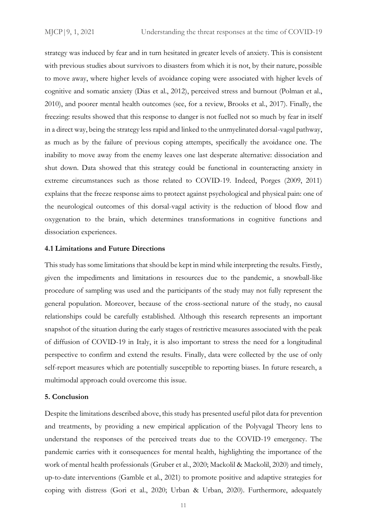strategy was induced by fear and in turn hesitated in greater levels of anxiety. This is consistent with previous studies about survivors to disasters from which it is not, by their nature, possible to move away, where higher levels of avoidance coping were associated with higher levels of cognitive and somatic anxiety (Dias et al., 2012), perceived stress and burnout (Polman et al., 2010), and poorer mental health outcomes (see, for a review, Brooks et al., 2017). Finally, the freezing: results showed that this response to danger is not fuelled not so much by fear in itself in a direct way, being the strategy less rapid and linked to the unmyelinated dorsal-vagal pathway, as much as by the failure of previous coping attempts, specifically the avoidance one. The inability to move away from the enemy leaves one last desperate alternative: dissociation and shut down. Data showed that this strategy could be functional in counteracting anxiety in extreme circumstances such as those related to COVID-19. Indeed, Porges (2009, 2011) explains that the freeze response aims to protect against psychological and physical pain: one of the neurological outcomes of this dorsal-vagal activity is the reduction of blood flow and oxygenation to the brain, which determines transformations in cognitive functions and dissociation experiences.

#### **4.1 Limitations and Future Directions**

This study has some limitations that should be kept in mind while interpreting the results. Firstly, given the impediments and limitations in resources due to the pandemic, a snowball-like procedure of sampling was used and the participants of the study may not fully represent the general population. Moreover, because of the cross-sectional nature of the study, no causal relationships could be carefully established. Although this research represents an important snapshot of the situation during the early stages of restrictive measures associated with the peak of diffusion of COVID-19 in Italy, it is also important to stress the need for a longitudinal perspective to confirm and extend the results. Finally, data were collected by the use of only self-report measures which are potentially susceptible to reporting biases. In future research, a multimodal approach could overcome this issue.

#### **5. Conclusion**

Despite the limitations described above, this study has presented useful pilot data for prevention and treatments, by providing a new empirical application of the Polyvagal Theory lens to understand the responses of the perceived treats due to the COVID-19 emergency. The pandemic carries with it consequences for mental health, highlighting the importance of the work of mental health professionals (Gruber et al., 2020; Mackolil & Mackolil, 2020) and timely, up-to-date interventions (Gamble et al., 2021) to promote positive and adaptive strategies for coping with distress (Gori et al., 2020; Urban & Urban, 2020). Furthermore, adequately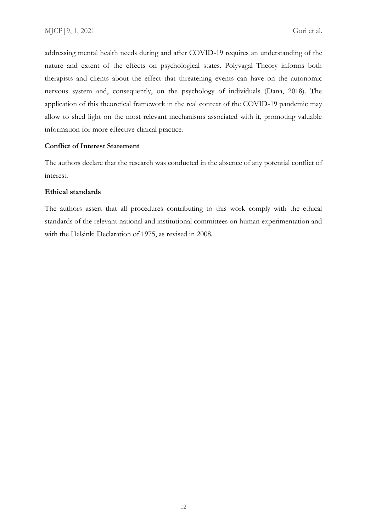addressing mental health needs during and after COVID-19 requires an understanding of the nature and extent of the effects on psychological states. Polyvagal Theory informs both therapists and clients about the effect that threatening events can have on the autonomic nervous system and, consequently, on the psychology of individuals (Dana, 2018). The application of this theoretical framework in the real context of the COVID-19 pandemic may allow to shed light on the most relevant mechanisms associated with it, promoting valuable information for more effective clinical practice.

#### **Conflict of Interest Statement**

The authors declare that the research was conducted in the absence of any potential conflict of interest.

#### **Ethical standards**

The authors assert that all procedures contributing to this work comply with the ethical standards of the relevant national and institutional committees on human experimentation and with the Helsinki Declaration of 1975, as revised in 2008.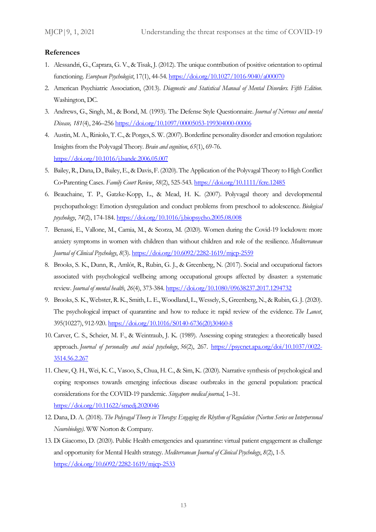#### **References**

- 1. Alessandri, G., Caprara, G. V., & Tisak, J. (2012). The unique contribution of positive orientation to optimal functioning. *European Psychologist*, 17(1), 44-54[. https://doi.org/10.1027/1016-9040/a000070](https://doi.org/10.1027/1016-9040/a000070)
- 2. American Psychiatric Association, (2013). *Diagnostic and Statistical Manual of Mental Disorders. Fifth Edition*. Washington, DC.
- 3. Andrews, G., Singh, M., & Bond, M. (1993). The Defense Style Questionnaire. *Journal of Nervous and mental Disease, 181*(4), 246–256 <https://doi.org/10.1097/00005053-199304000-00006>
- 4. Austin, M. A., Riniolo, T. C., & Porges, S. W. (2007). Borderline personality disorder and emotion regulation: Insights from the Polyvagal Theory. *Brain and cognition*, *65*(1), 69-76. <https://doi.org/10.1016/j.bandc.2006.05.007>
- 5. Bailey, R., Dana, D., Bailey, E., & Davis, F. (2020). The Application of the Polyvagal Theory to High Conflict Co‐Parenting Cases. *Family Court Review*, *58*(2), 525-543[. https://doi.org/10.1111/fcre.12485](https://doi.org/10.1111/fcre.12485)
- 6. Beauchaine, T. P., Gatzke-Kopp, L., & Mead, H. K. (2007). Polyvagal theory and developmental psychopathology: Emotion dysregulation and conduct problems from preschool to adolescence. *Biological psychology*, *74*(2), 174-184[. https://doi.org/10.1016/j.biopsycho.2005.08.008](https://doi.org/10.1016/j.biopsycho.2005.08.008)
- 7. Benassi, E., Vallone, M., Camia, M., & Scorza, M. (2020). Women during the Covid-19 lockdown: more anxiety symptoms in women with children than without children and role of the resilience. *Mediterranean Journal of Clinical Psychology*, *8*(3).<https://doi.org/10.6092/2282-1619/mjcp-2559>
- 8. Brooks, S. K., Dunn, R., Amlôt, R., Rubin, G. J., & Greenberg, N. (2017). Social and occupational factors associated with psychological wellbeing among occupational groups affected by disaster: a systematic review. *Journal of mental health*, *26*(4), 373-384.<https://doi.org/10.1080/09638237.2017.1294732>
- 9. Brooks, S. K., Webster, R. K., Smith, L. E., Woodland, L., Wessely, S., Greenberg, N., & Rubin, G. J. (2020). The psychological impact of quarantine and how to reduce it: rapid review of the evidence. *The Lancet*, 395(10227), 912-920. [https://doi.org/10.1016/S0140-6736\(20\)30460-8](https://doi.org/10.1016/S0140-6736(20)30460-8)
- 10. Carver, C. S., Scheier, M. F., & Weintraub, J. K. (1989). Assessing coping strategies: a theoretically based approach. *Journal of personality and social psychology*, *56*(2), 267. [https://psycnet.apa.org/doi/10.1037/0022-](https://psycnet.apa.org/doi/10.1037/0022-3514.56.2.267) [3514.56.2.267](https://psycnet.apa.org/doi/10.1037/0022-3514.56.2.267)
- 11. Chew, Q. H., Wei, K. C., Vasoo, S., Chua, H. C., & Sim, K. (2020). Narrative synthesis of psychological and coping responses towards emerging infectious disease outbreaks in the general population: practical considerations for the COVID-19 pandemic. *Singapore medical journal*, 1–31. <https://doi.org/10.11622/smedj.2020046>
- 12. Dana, D. A. (2018). *The Polyvagal Theory in Therapy: Engaging the Rhythm of Regulation (Norton Series on Interpersonal Neurobiology)*. WW Norton & Company.
- 13. Di Giacomo, D. (2020). Public Health emergencies and quarantine: virtual patient engagement as challenge and opportunity for Mental Health strategy. *Mediterranean Journal of Clinical Psychology*, *8*(2), 1-5. <https://doi.org/10.6092/2282-1619/mjcp-2533>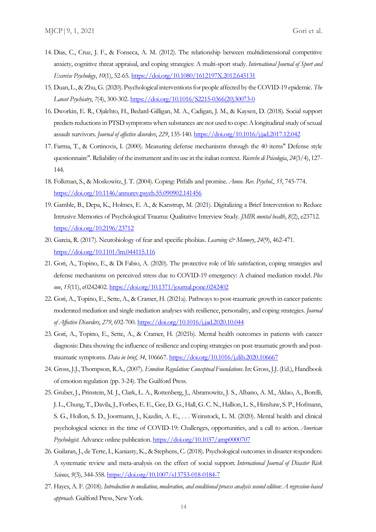- 14. Dias, C., Cruz, J. F., & Fonseca, A. M. (2012). The relationship between multidimensional competitive anxiety, cognitive threat appraisal, and coping strategies: A multi-sport study. *International Journal of Sport and Exercise Psychology*, *10*(1), 52-65.<https://doi.org/10.1080/1612197X.2012.645131>
- 15. Duan, L., & Zhu, G. (2020). Psychological interventions for people affected by the COVID-19 epidemic. *The Lancet Psychiatry*, *7*(4), 300-302[. https://doi.org/10.1016/S2215-0366\(20\)30073-0](https://doi.org/10.1016/S2215-0366(20)30073-0)
- 16. Dworkin, E. R., Ojalehto, H., Bedard-Gilligan, M. A., Cadigan, J. M., & Kaysen, D. (2018). Social support predicts reductions in PTSD symptoms when substances are not used to cope: A longitudinal study of sexual assault survivors. *Journal of affective disorders*, *229*, 135-140.<https://doi.org/10.1016/j.jad.2017.12.042>
- 17. Farma, T., & Cortinovis, I. (2000). Measuring defense mechanisms through the 40 items" Defense style questionnaire". Reliability of the instrument and its use in the italian context. *Ricerche di Psicologia*, *24*(3/4), 127- 144.
- 18. Folkman, S., & Moskowitz, J. T. (2004). Coping: Pitfalls and promise. *Annu. Rev. Psychol.*, *55*, 745-774. <https://doi.org/10.1146/annurev.psych.55.090902.141456>
- 19. Gamble, B., Depa, K., Holmes, E. A., & Kanstrup, M. (2021). Digitalizing a Brief Intervention to Reduce Intrusive Memories of Psychological Trauma: Qualitative Interview Study. *JMIR mental health*, *8*(2), e23712. <https://doi.org/10.2196/23712>
- 20. Garcia, R. (2017). Neurobiology of fear and specific phobias. *Learning & Memory*, *24*(9), 462-471. <https://doi.org/10.1101/lm.044115.116>
- 21. Gori, A., Topino, E., & Di Fabio, A. (2020). The protective role of life satisfaction, coping strategies and defense mechanisms on perceived stress due to COVID-19 emergency: A chained mediation model. *Plos one*, *15*(11), e0242402.<https://doi.org/10.1371/journal.pone.0242402>
- 22. Gori, A., Topino, E., Sette, A., & Cramer, H. (2021a). Pathways to post-traumatic growth in cancer patients: moderated mediation and single mediation analyses with resilience, personality, and coping strategies. *Journal of Affective Disorders*, *279*, 692-700[. https://doi.org/10.1016/j.jad.2020.10.044](https://doi.org/10.1016/j.jad.2020.10.044)
- 23. Gori, A., Topino, E., Sette, A., & Cramer, H. (2021b). Mental health outcomes in patients with cancer diagnosis: Data showing the influence of resilience and coping strategies on post-traumatic growth and posttraumatic symptoms. *Data in brief*, *34*, 106667.<https://doi.org/10.1016/j.dib.2020.106667>
- 24. Gross, J.J., Thompson, R.A., (2007). *Emotion Regulation: Conceptual Foundations*. In: Gross, J.J. (Ed.), Handbook of emotion regulation (pp. 3-24). The Guilford Press.
- 25. Gruber, J., Prinstein, M. J., Clark, L. A., Rottenberg, J., Abramowitz, J. S., Albano, A. M., Aldao, A., Borelli, J. L., Chung, T., Davila, J., Forbes, E. E., Gee, D. G., Hall, G. C. N., Hallion, L. S., Hinshaw, S. P., Hofmann, S. G., Hollon, S. D., Joormann, J., Kazdin, A. E., . . . Weinstock, L. M. (2020). Mental health and clinical psychological science in the time of COVID-19: Challenges, opportunities, and a call to action. *American Psychologist.* Advance online publication. [https://doi.org/10.1037/amp0000707](https://psycnet.apa.org/doi/10.1037/amp0000707)
- 26. Guilaran, J., de Terte, I., Kaniasty, K., & Stephens, C. (2018). Psychological outcomes in disaster responders: A systematic review and meta-analysis on the effect of social support. *International Journal of Disaster Risk Science*, *9*(3), 344-358[. https://doi.org/10.1007/s13753-018-0184-7](https://doi.org/10.1007/s13753-018-0184-7)
- 27. Hayes, A. F. (2018). *Introduction to mediation, moderation, and conditional process analysis second edition: A regression-based approach*. Guilford Press, New York.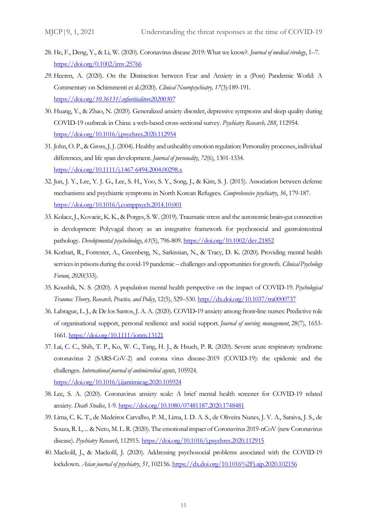- 28. He, F., Deng, Y., & Li, W. (2020). Coronavirus disease 2019: What we know?. *Journal of medical virology*, 1–7. <https://doi.org/0.1002/jmv.25766>
- *29.* Heeren, A. (2020). On the Distinction between Fear and Anxiety in a (Post) Pandemic World: A Commentary on Schimmenti et al.(2020). *Clinical Neuropsychiatry, 17*(3):189-191. https://doi.org/*[10.36131/cnfioritieditore20200307](https://doi.org/10.36131/cnfioritieditore20200307)*
- 30. Huang, Y., & Zhao, N. (2020). Generalized anxiety disorder, depressive symptoms and sleep quality during COVID-19 outbreak in China: a web-based cross-sectional survey. *Psychiatry Research, 288*, 112954. <https://doi.org/10.1016/j.psychres.2020.112954>
- 31. John, O. P., & Gross, J. J. (2004). Healthy and unhealthy emotion regulation: Personality processes, individual differences, and life span development. *Journal of personality*, *72*(6), 1301-1334. <https://doi.org/10.1111/j.1467-6494.2004.00298.x>
- 32. Jun, J. Y., Lee, Y. J. G., Lee, S. H., Yoo, S. Y., Song, J., & Kim, S. J. (2015). Association between defense mechanisms and psychiatric symptoms in North Korean Refugees. *Comprehensive psychiatry*, *56*, 179-187. <https://doi.org/10.1016/j.comppsych.2014.10.001>
- 33. Kolacz, J., Kovacic, K. K., & Porges, S. W. (2019). Traumatic stress and the autonomic brain‐gut connection in development: Polyvagal theory as an integrative framework for psychosocial and gastrointestinal pathology. *Developmental psychobiology*, *61*(5), 796-809[. https://doi.org/10.1002/dev.21852](https://doi.org/10.1002/dev.21852)
- 34. Kothari, R., Forrester, A., Greenberg, N., Sarkissian, N., & Tracy, D. K. (2020). Providing mental health services in prisons during the covid-19 pandemic – challenges and opportunities for growth. *Clinical Psychology Forum*, *2020*(333).
- 35. Koushik, N. S. (2020). A population mental health perspective on the impact of COVID-19. *Psychological Trauma: Theory, Research, Practice, and Policy*, 12(5), 529–530.<http://dx.doi.org/10.1037/tra0000737>
- 36. Labrague, L. J., & De los Santos, J. A. A. (2020). COVID‐19 anxiety among front‐line nurses: Predictive role of organisational support, personal resilience and social support. *Journal of nursing management*, 28(7), 1653- 1661.<https://doi.org/10.1111/jonm.13121>
- 37. Lai, C. C., Shih, T. P., Ko, W. C., Tang, H. J., & Hsueh, P. R. (2020). Severe acute respiratory syndrome coronavirus 2 (SARS-CoV-2) and corona virus disease-2019 (COVID-19): the epidemic and the challenges. *International journal of antimicrobial agents*, 105924. <https://doi.org/10.1016/j.ijantimicag.2020.105924>
- 38. Lee, S. A. (2020). Coronavirus anxiety scale: A brief mental health screener for COVID-19 related anxiety. *Death Studies*, 1-9.<https://doi.org/10.1080/07481187.2020.1748481>
- 39. Lima, C. K. T., de Medeiros Carvalho, P. M., Lima, I. D. A. S., de Oliveira Nunes, J. V. A., Saraiva, J. S., de Souza, R. I., ... & Neto, M. L. R. (2020). The emotional impact of Coronavirus 2019-nCoV (new Coronavirus disease). *Psychiatry Research*, 112915[. https://doi.org/10.1016/j.psychres.2020.112915](https://doi.org/10.1016/j.psychres.2020.112915)
- 40. Mackolil, J., & Mackolil, J. (2020). Addressing psychosocial problems associated with the COVID-19 lockdown. *Asian journal of psychiatry*, *51*, 102156.<https://dx.doi.org/10.1016%2Fj.ajp.2020.102156>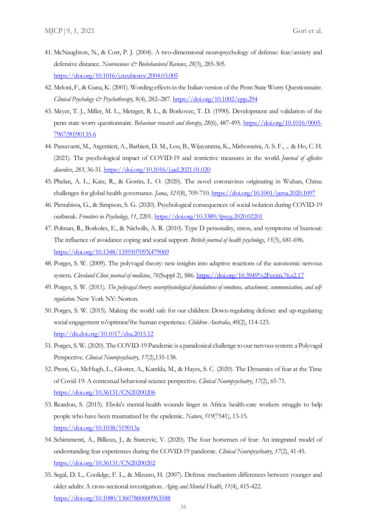- 41. McNaughton, N., & Corr, P. J. (2004). A two-dimensional neuropsychology of defense: fear/anxiety and defensive distance. *Neuroscience & Biobehavioral Reviews*, *28*(3), 285-305. <https://doi.org/10.1016/j.neubiorev.2004.03.005>
- 42. Meloni, F., & Gana, K. (2001). Wording effects in the Italian version of the Penn State Worry Questionnaire. *Clinical Psychology & Psychotherapy*, 8(4), 282–287[. https://doi.org/10.1002/cpp.294](https://doi.org/10.1002/cpp.294)
- 43. Meyer, T. J., Miller, M. L., Metzger, R. L., & Borkovec, T. D. (1990). Development and validation of the penn state worry questionnaire. *Behaviour research and therapy*, *28*(6), 487-495. [https://doi.org/10.1016/0005-](https://doi.org/10.1016/0005-7967(90)90135-6) [7967\(90\)90135-6](https://doi.org/10.1016/0005-7967(90)90135-6)
- 44. Passavanti, M., Argentieri, A., Barbieri, D. M., Lou, B., Wijayaratna, K., Mirhosseini, A. S. F., ... & Ho, C. H. (2021). The psychological impact of COVID-19 and restrictive measures in the world. *Journal of affective disorders*, *283*, 36-51.<https://doi.org/10.1016/j.jad.2021.01.020>
- 45. Phelan, A. L., Katz, R., & Gostin, L. O. (2020). The novel coronavirus originating in Wuhan, China: challenges for global health governance. *Jama*, *323*(8), 709-710.<https://doi.org/10.1001/jama.2020.1097>
- 46. Pietrabissa, G., & Simpson, S. G. (2020). Psychological consequences of social isolation during COVID-19 outbreak. *Frontiers in Psychology*, *11*, 2201[. https://doi.org/10.3389/fpsyg.2020.02201](https://doi.org/10.3389/fpsyg.2020.02201)
- 47. Polman, R., Borkoles, E., & Nicholls, A. R. (2010). Type D personality, stress, and symptoms of burnout: The influence of avoidance coping and social support. *British journal of health psychology*, *15*(3), 681-696. <https://doi.org/10.1348/135910709X479069>
- 48. Porges, S. W. (2009). The polyvagal theory: new insights into adaptive reactions of the autonomic nervous system. *Cleveland Clinic journal of medicine*, *76*(Suppl 2), S86.<https://doi.org/10.3949%2Fccjm.76.s2.17>
- 49. Porges, S. W. (2011). *The polyvagal theory: neurophysiological foundations of emotions, attachment, communication, and selfregulation.* New York NY: Norton.
- 50. Porges, S. W. (2015). Making the world safe for our children: Down-regulating defence and up-regulating social engagement to'optimise'the human experience. *Children Australia*, *40*(2), 114-123. <http://dx.doi.org/10.1017/cha.2015.12>
- 51. Porges, S. W. (2020). The COVID-19 Pandemic is a paradoxical challenge to our nervous system: a Polyvagal Perspective. *Clinical Neuropsychiatry*, *17*(2),135-138.
- 52. Presti, G., McHugh, L., Gloster, A., Karekla, M., & Hayes, S. C. (2020). The Dynamics of fear at the Time of Covid-19: A contextual behavioral science perspective. *Clinical Neuropsychiatry*, *17*(2), 65-71. <https://doi.org/10.36131/CN20200206>
- 53. Reardon, S. (2015). Ebola's mental-health wounds linger in Africa: health-care workers struggle to help people who have been traumatized by the epidemic. *Nature*, *519*(7541), 13-15. <https://doi.org/10.1038/519013a>
- 54. Schimmenti, A., Billieux, J., & Starcevic, V. (2020). The four horsemen of fear: An integrated model of understanding fear experiences during the COVID-19 pandemic. *Clinical Neuropsychiatry*, *17*(2), 41-45. <https://doi.org/10.36131/CN20200202>
- 55. Segal, D. L., Coolidge, F. L., & Mizuno, H. (2007). Defense mechanism differences between younger and older adults: A cross-sectional investigation. *Aging and Mental Health*, *11*(4), 415-422. <https://doi.org/10.1080/13607860600963588>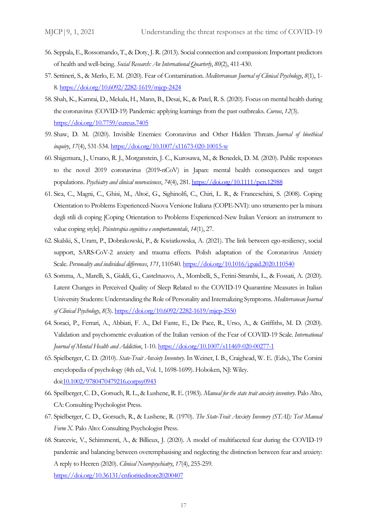- 56. Seppala, E., Rossomando, T., & Doty, J. R. (2013). Social connection and compassion: Important predictors of health and well-being. *Social Research: An International Quarterly*, *80*(2), 411-430.
- 57. Settineri, S., & Merlo, E. M. (2020). Fear of Contamination. *Mediterranean Journal of Clinical Psychology*, *8*(1), 1- 8[. https://doi.org/10.6092/2282-1619/mjcp-2424](https://doi.org/10.6092/2282-1619/mjcp-2424)
- 58. Shah, K., Kamrai, D., Mekala, H., Mann, B., Desai, K., & Patel, R. S. (2020). Focus on mental health during the coronavirus (COVID-19) Pandemic: applying learnings from the past outbreaks. *Cureus*, *12*(3). <https://doi.org/10.7759/cureus.7405>
- 59. Shaw, D. M. (2020). Invisible Enemies: Coronavirus and Other Hidden Threats. *Journal of bioethical inquiry*, *17*(4), 531-534[. https://doi.org/10.1007/s11673-020-10015-w](https://doi.org/10.1007/s11673-020-10015-w)
- 60. Shigemura, J., Ursano, R. J., Morganstein, J. C., Kurosawa, M., & Benedek, D. M. (2020). Public responses to the novel 2019 coronavirus (2019‐nCoV) in Japan: mental health consequences and target populations. *Psychiatry and clinical neurosciences*, *74*(4), 281. <https://doi.org/10.1111/pcn.12988>
- 61. Sica, C., Magni, C., Ghisi, M., Altoè, G., Sighinolfi, C., Chiri, L. R., & Franceschini, S. (2008). Coping Orientation to Problems Experienced-Nuova Versione Italiana (COPE-NVI): uno strumento per la misura degli stili di coping [Coping Orientation to Problems Experienced-New Italian Version: an instrument to value coping style]. *Psicoterapia cognitiva e comportamentale*, *14*(1), 27.
- 62. Skalski, S., Uram, P., Dobrakowski, P., & Kwiatkowska, A. (2021). The link between ego-resiliency, social support, SARS-CoV-2 anxiety and trauma effects. Polish adaptation of the Coronavirus Anxiety Scale. *Personality and individual differences*, *171*, 110540[. https://doi.org/10.1016/j.paid.2020.110540](https://doi.org/10.1016/j.paid.2020.110540)
- 63. Somma, A., Marelli, S., Gialdi, G., Castelnuovo, A., Mombelli, S., Ferini-Strambi, L., & Fossati, A. (2020). Latent Changes in Perceived Quality of Sleep Related to the COVID-19 Quarantine Measures in Italian University Students: Understanding the Role of Personality and Internalizing Symptoms. *Mediterranean Journal of Clinical Psychology*, *8*(3)[. https://doi.org/10.6092/2282-1619/mjcp-2550](https://doi.org/10.6092/2282-1619/mjcp-2550)
- 64. Soraci, P., Ferrari, A., Abbiati, F. A., Del Fante, E., De Pace, R., Urso, A., & Griffiths, M. D. (2020). Validation and psychometric evaluation of the Italian version of the Fear of COVID-19 Scale. *International Journal of Mental Health and Addiction*, 1-10[. https://doi.org/10.1007/s11469-020-00277-1](https://doi.org/10.1007/s11469-020-00277-1)
- 65. Spielberger, C. D. (2010). *State-Trait Anxiety Inventory*. In Weiner, I. B., Craighead, W. E. (Eds.), The Corsini encyclopedia of psychology (4th ed., Vol. 1, 1698-1699). Hoboken, NJ: Wiley. doi[:10.1002/9780470479216.corpsy0943](https://doi.org/10.1002/9780470479216.corpsy0943)
- 66. Speilberger, C. D., Gorsuch, R. L., & Lushene, R. E. (1983). *Manual for the state trait anxiety inventory*. Palo Alto, CA: Consulting Psychologist Press.
- 67. Spielberger, C. D., Gorsuch, R., & Lushene, R. (1970). *The State-Trait Anxiety Invenory (STAI): Test Manual Form X.* Palo Alto: Consulting Psychologist Press.
- 68. Starcevic, V., Schimmenti, A., & Billieux, J. (2020). A model of multifaceted fear during the COVID-19 pandemic and balancing between overemphasising and neglecting the distinction between fear and anxiety: A reply to Heeren (2020). *Clinical Neuropsychiatry*, *17*(4), 255-259. <https://doi.org/10.36131/cnfioritieditore20200407>